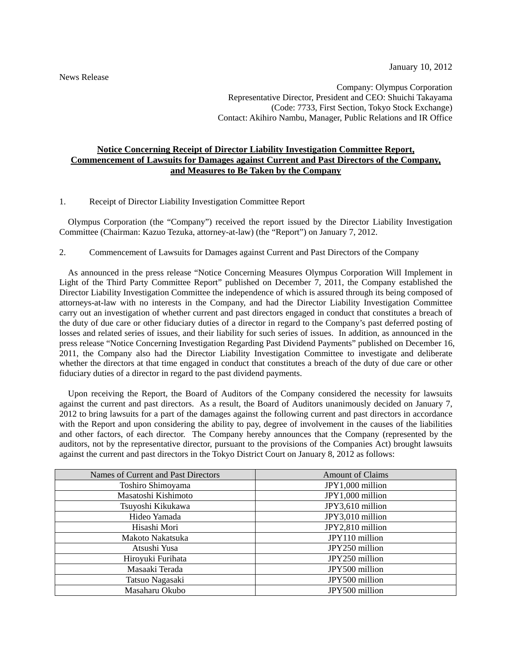Company: Olympus Corporation Representative Director, President and CEO: Shuichi Takayama (Code: 7733, First Section, Tokyo Stock Exchange) Contact: Akihiro Nambu, Manager, Public Relations and IR Office

## **Notice Concerning Receipt of Director Liability Investigation Committee Report, Commencement of Lawsuits for Damages against Current and Past Directors of the Company, and Measures to Be Taken by the Company**

1. Receipt of Director Liability Investigation Committee Report

Olympus Corporation (the "Company") received the report issued by the Director Liability Investigation Committee (Chairman: Kazuo Tezuka, attorney-at-law) (the "Report") on January 7, 2012.

## 2. Commencement of Lawsuits for Damages against Current and Past Directors of the Company

As announced in the press release "Notice Concerning Measures Olympus Corporation Will Implement in Light of the Third Party Committee Report" published on December 7, 2011, the Company established the Director Liability Investigation Committee the independence of which is assured through its being composed of attorneys-at-law with no interests in the Company, and had the Director Liability Investigation Committee carry out an investigation of whether current and past directors engaged in conduct that constitutes a breach of the duty of due care or other fiduciary duties of a director in regard to the Company's past deferred posting of losses and related series of issues, and their liability for such series of issues. In addition, as announced in the press release "Notice Concerning Investigation Regarding Past Dividend Payments" published on December 16, 2011, the Company also had the Director Liability Investigation Committee to investigate and deliberate whether the directors at that time engaged in conduct that constitutes a breach of the duty of due care or other fiduciary duties of a director in regard to the past dividend payments.

Upon receiving the Report, the Board of Auditors of the Company considered the necessity for lawsuits against the current and past directors. As a result, the Board of Auditors unanimously decided on January 7, 2012 to bring lawsuits for a part of the damages against the following current and past directors in accordance with the Report and upon considering the ability to pay, degree of involvement in the causes of the liabilities and other factors, of each director. The Company hereby announces that the Company (represented by the auditors, not by the representative director, pursuant to the provisions of the Companies Act) brought lawsuits against the current and past directors in the Tokyo District Court on January 8, 2012 as follows:

| Names of Current and Past Directors | <b>Amount of Claims</b> |
|-------------------------------------|-------------------------|
| Toshiro Shimoyama                   | JPY1,000 million        |
| Masatoshi Kishimoto                 | JPY1,000 million        |
| Tsuyoshi Kikukawa                   | JPY3,610 million        |
| Hideo Yamada                        | JPY3,010 million        |
| Hisashi Mori                        | JPY2,810 million        |
| Makoto Nakatsuka                    | JPY110 million          |
| Atsushi Yusa                        | JPY250 million          |
| Hiroyuki Furihata                   | JPY250 million          |
| Masaaki Terada                      | JPY500 million          |
| Tatsuo Nagasaki                     | JPY500 million          |
| Masaharu Okubo                      | JPY500 million          |